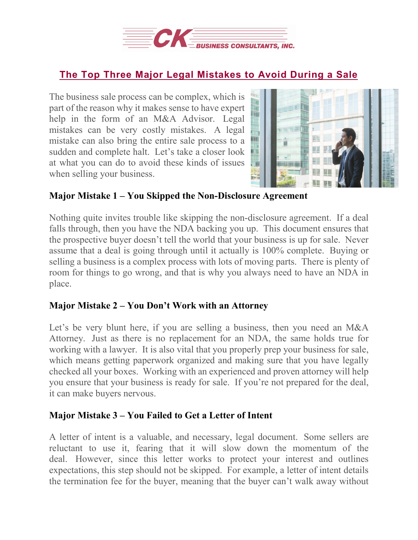

## **The Top Three Major Legal [Mistakes](https://deal-studio.com/the-top-three-major-legal-mistakes-to-avoid-during-a-sale/) to Avoid During a Sale**

The business sale process can be complex, which is part of the reason why it makes sense to have expert help in the form of an M&A Advisor. Legal mistakes can be very costly mistakes. A legal mistake can also bring the entire sale process to a sudden and complete halt. Let's take a closer look at what you can do to avoid these kinds of issues when selling your business.



## **Major Mistake 1 – You Skipped the Non-Disclosure Agreement**

Nothing quite invites trouble like skipping the non-disclosure agreement. If a deal falls through, then you have the NDA backing you up. This document ensures that the prospective buyer doesn't tell the world that your business is up for sale. Never assume that a deal is going through until it actually is 100% complete. Buying or selling a business is a complex process with lots of moving parts. There is plenty of room for things to go wrong, and that is why you always need to have an NDA in place.

## **Major Mistake 2 – You Don't Work with an Attorney**

Let's be very blunt here, if you are selling a business, then you need an M&A Attorney. Just as there is no replacement for an NDA, the same holds true for working with a lawyer. It is also vital that you properly prep your business for sale, which means getting paperwork organized and making sure that you have legally checked all your boxes. Working with an experienced and proven attorney will help you ensure that your business is ready for sale. If you're not prepared for the deal, it can make buyers nervous.

## **Major Mistake 3 – You Failed to Get a Letter of Intent**

A letter of intent is a valuable, and necessary, legal document. Some sellers are reluctant to use it, fearing that it will slow down the momentum of the deal. However, since this letter works to protect your interest and outlines expectations, this step should not be skipped. For example, a letter of intent details the termination fee for the buyer, meaning that the buyer can't walk away without